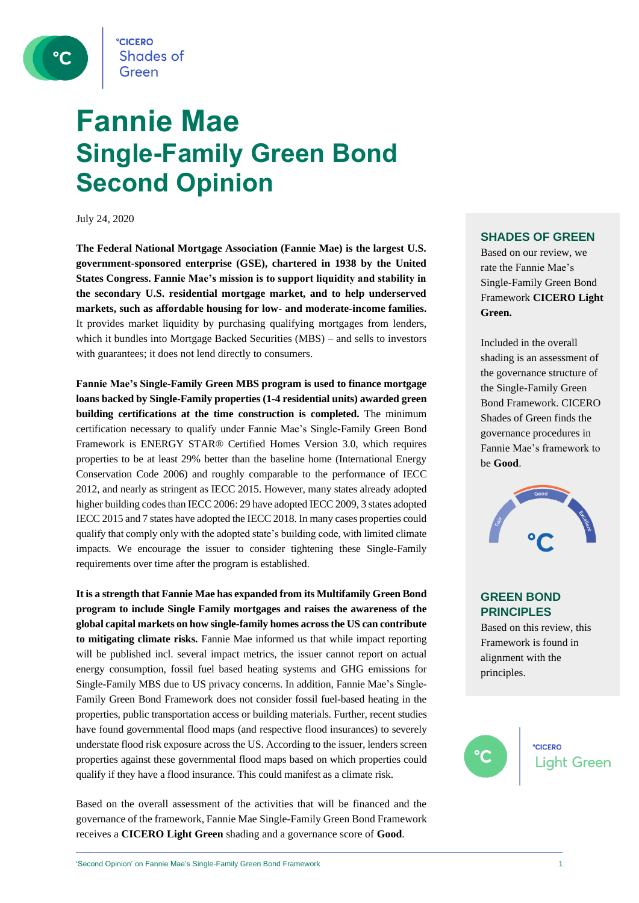**CICERO Shades of** Green

## **Fannie Mae Single-Family Green Bond Second Opinion**

July 24, 2020

**The Federal National Mortgage Association (Fannie Mae) is the largest U.S. government-sponsored enterprise (GSE), chartered in 1938 by the United States Congress. Fannie Mae's mission is to support liquidity and stability in the secondary U.S. residential mortgage market, and to help underserved markets, such as affordable housing for low- and moderate-income families.**  It provides market liquidity by purchasing qualifying mortgages from lenders, which it bundles into Mortgage Backed Securities (MBS) – and sells to investors with guarantees; it does not lend directly to consumers.

**Fannie Mae's Single-Family Green MBS program is used to finance mortgage loans backed by Single-Family properties (1-4 residential units) awarded green building certifications at the time construction is completed.** The minimum certification necessary to qualify under Fannie Mae's Single-Family Green Bond Framework is ENERGY STAR® Certified Homes Version 3.0, which requires properties to be at least 29% better than the baseline home (International Energy Conservation Code 2006) and roughly comparable to the performance of IECC 2012, and nearly as stringent as IECC 2015. However, many states already adopted higher building codes than IECC 2006: 29 have adopted IECC 2009, 3 states adopted IECC 2015 and 7 states have adopted the IECC 2018. In many cases properties could qualify that comply only with the adopted state's building code, with limited climate impacts. We encourage the issuer to consider tightening these Single-Family requirements over time after the program is established.

**It is a strength that Fannie Mae has expanded from its Multifamily Green Bond program to include Single Family mortgages and raises the awareness of the global capital markets on how single-family homes across the US can contribute to mitigating climate risks.** Fannie Mae informed us that while impact reporting will be published incl. several impact metrics, the issuer cannot report on actual energy consumption, fossil fuel based heating systems and GHG emissions for Single-Family MBS due to US privacy concerns. In addition, Fannie Mae's Single-Family Green Bond Framework does not consider fossil fuel-based heating in the properties, public transportation access or building materials. Further, recent studies have found governmental flood maps (and respective flood insurances) to severely understate flood risk exposure across the US. According to the issuer, lenders screen properties against these governmental flood maps based on which properties could qualify if they have a flood insurance. This could manifest as a climate risk.

Based on the overall assessment of the activities that will be financed and the governance of the framework, Fannie Mae Single-Family Green Bond Framework receives a **CICERO Light Green** shading and a governance score of **Good**.

#### **SHADES OF GREEN**

Based on our review, we rate the Fannie Mae's Single-Family Green Bond Framework **CICERO Light Green.** 

Included in the overall shading is an assessment of the governance structure of the Single-Family Green Bond Framework. CICERO Shades of Green finds the governance procedures in Fannie Mae's framework to be **Good**.



#### **GREEN BOND PRINCIPLES**

Based on this review, this Framework is found in alignment with the principles.

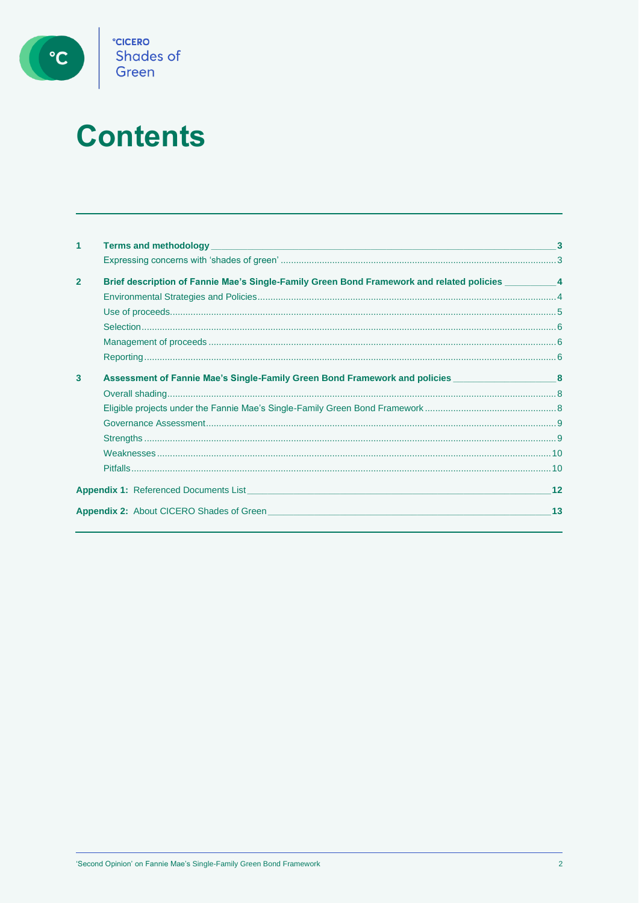

# **Contents**

| $\mathbf{1}$   | <b>Terms and methodology <i>CONSIDERATION</i> <b><i>CONSIDERATION CONSIDERATION CONSIDERATION</i> <b><i>CONSIDERATION</i></b></b></b> |    |
|----------------|---------------------------------------------------------------------------------------------------------------------------------------|----|
|                |                                                                                                                                       |    |
| $\overline{2}$ | Brief description of Fannie Mae's Single-Family Green Bond Framework and related policies __________ 4                                |    |
|                |                                                                                                                                       |    |
|                |                                                                                                                                       |    |
|                |                                                                                                                                       |    |
|                |                                                                                                                                       |    |
|                |                                                                                                                                       |    |
| 3              | Assessment of Fannie Mae's Single-Family Green Bond Framework and policies ________________________8                                  |    |
|                |                                                                                                                                       |    |
|                |                                                                                                                                       |    |
|                |                                                                                                                                       |    |
|                |                                                                                                                                       |    |
|                |                                                                                                                                       |    |
|                |                                                                                                                                       |    |
|                | <b>Appendix 1:</b> Referenced Documents List <b>Example 2014</b> 2022 2023 2024 2024 2022 2023 2024 2022 2023 2024 2022 2023          | 12 |
|                | <b>Appendix 2:</b> About CICERO Shades of Green                                                                                       | 13 |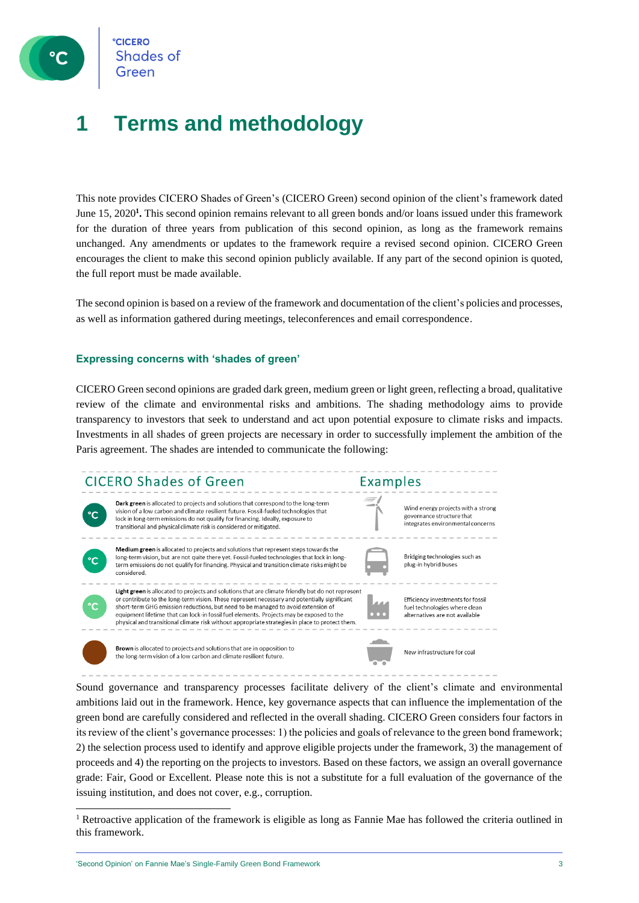

**CICERO** Shades of Green

### **1 Terms and methodology**

This note provides CICERO Shades of Green's (CICERO Green) second opinion of the client's framework dated June 15, 2020<sup>1</sup>. This second opinion remains relevant to all green bonds and/or loans issued under this framework for the duration of three years from publication of this second opinion, as long as the framework remains unchanged. Any amendments or updates to the framework require a revised second opinion. CICERO Green encourages the client to make this second opinion publicly available. If any part of the second opinion is quoted, the full report must be made available.

The second opinion is based on a review of the framework and documentation of the client's policies and processes, as well as information gathered during meetings, teleconferences and email correspondence.

#### **Expressing concerns with 'shades of green'**

CICERO Green second opinions are graded dark green, medium green or light green, reflecting a broad, qualitative review of the climate and environmental risks and ambitions. The shading methodology aims to provide transparency to investors that seek to understand and act upon potential exposure to climate risks and impacts. Investments in all shades of green projects are necessary in order to successfully implement the ambition of the Paris agreement. The shades are intended to communicate the following:



Sound governance and transparency processes facilitate delivery of the client's climate and environmental ambitions laid out in the framework. Hence, key governance aspects that can influence the implementation of the green bond are carefully considered and reflected in the overall shading. CICERO Green considers four factors in its review of the client's governance processes: 1) the policies and goals of relevance to the green bond framework; 2) the selection process used to identify and approve eligible projects under the framework, 3) the management of proceeds and 4) the reporting on the projects to investors. Based on these factors, we assign an overall governance grade: Fair, Good or Excellent. Please note this is not a substitute for a full evaluation of the governance of the issuing institution, and does not cover, e.g., corruption.

<sup>1</sup> Retroactive application of the framework is eligible as long as Fannie Mae has followed the criteria outlined in this framework.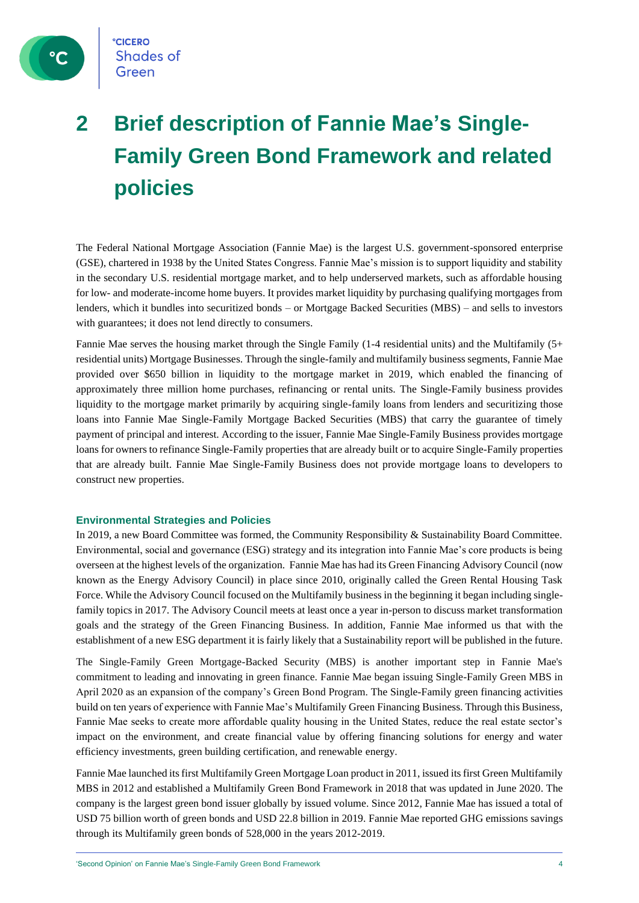

### **2 Brief description of Fannie Mae's Single-Family Green Bond Framework and related policies**

The Federal National Mortgage Association (Fannie Mae) is the largest U.S. government-sponsored enterprise (GSE), chartered in 1938 by the United States Congress. Fannie Mae's mission is to support liquidity and stability in the secondary U.S. residential mortgage market, and to help underserved markets, such as affordable housing for low- and moderate-income home buyers. It provides market liquidity by purchasing qualifying mortgages from lenders, which it bundles into securitized bonds – or Mortgage Backed Securities (MBS) – and sells to investors with guarantees; it does not lend directly to consumers.

Fannie Mae serves the housing market through the Single Family (1-4 residential units) and the Multifamily (5+ residential units) Mortgage Businesses. Through the single-family and multifamily business segments, Fannie Mae provided over \$650 billion in liquidity to the mortgage market in 2019, which enabled the financing of approximately three million home purchases, refinancing or rental units. The Single-Family business provides liquidity to the mortgage market primarily by acquiring single-family loans from lenders and securitizing those loans into Fannie Mae Single-Family Mortgage Backed Securities (MBS) that carry the guarantee of timely payment of principal and interest. According to the issuer, Fannie Mae Single-Family Business provides mortgage loans for owners to refinance Single-Family properties that are already built or to acquire Single-Family properties that are already built. Fannie Mae Single-Family Business does not provide mortgage loans to developers to construct new properties.

#### **Environmental Strategies and Policies**

In 2019, a new Board Committee was formed, the Community Responsibility & Sustainability Board Committee. Environmental, social and governance (ESG) strategy and its integration into Fannie Mae's core products is being overseen at the highest levels of the organization. Fannie Mae has had its Green Financing Advisory Council (now known as the Energy Advisory Council) in place since 2010, originally called the Green Rental Housing Task Force. While the Advisory Council focused on the Multifamily business in the beginning it began including singlefamily topics in 2017. The Advisory Council meets at least once a year in-person to discuss market transformation goals and the strategy of the Green Financing Business. In addition, Fannie Mae informed us that with the establishment of a new ESG department it is fairly likely that a Sustainability report will be published in the future.

The Single-Family Green Mortgage-Backed Security (MBS) is another important step in Fannie Mae's commitment to leading and innovating in green finance. Fannie Mae began issuing Single-Family Green MBS in April 2020 as an expansion of the company's Green Bond Program. The Single-Family green financing activities build on ten years of experience with Fannie Mae's Multifamily Green Financing Business. Through this Business, Fannie Mae seeks to create more affordable quality housing in the United States, reduce the real estate sector's impact on the environment, and create financial value by offering financing solutions for energy and water efficiency investments, green building certification, and renewable energy.

Fannie Mae launched its first Multifamily Green Mortgage Loan product in 2011, issued its first Green Multifamily MBS in 2012 and established a Multifamily Green Bond Framework in 2018 that was updated in June 2020. The company is the largest green bond issuer globally by issued volume. Since 2012, Fannie Mae has issued a total of USD 75 billion worth of green bonds and USD 22.8 billion in 2019. Fannie Mae reported GHG emissions savings through its Multifamily green bonds of 528,000 in the years 2012-2019.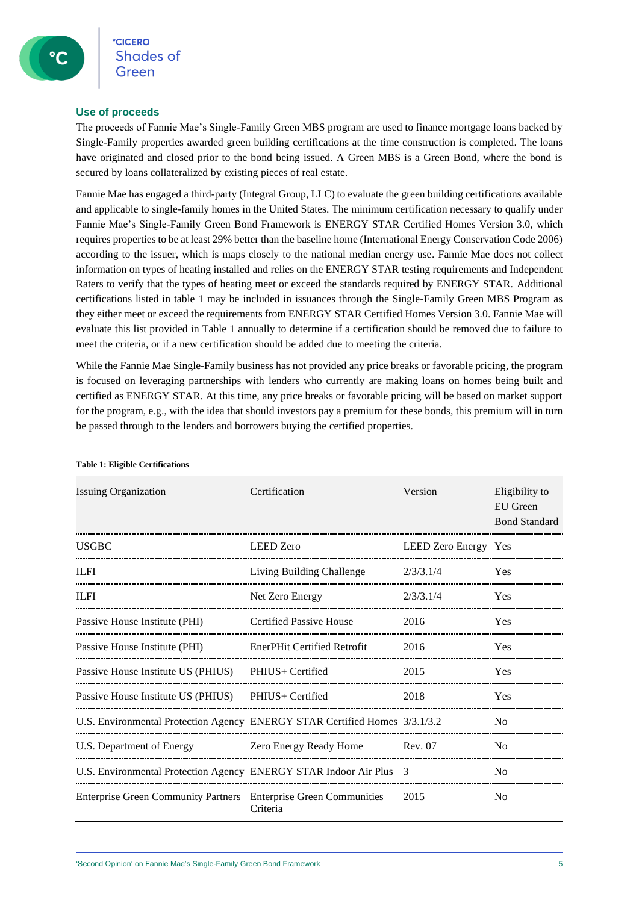#### **Use of proceeds**

The proceeds of Fannie Mae's Single-Family Green MBS program are used to finance mortgage loans backed by Single-Family properties awarded green building certifications at the time construction is completed. The loans have originated and closed prior to the bond being issued. A Green MBS is a Green Bond, where the bond is secured by loans collateralized by existing pieces of real estate.

Fannie Mae has engaged a third-party (Integral Group, LLC) to evaluate the green building certifications available and applicable to single-family homes in the United States. The minimum certification necessary to qualify under Fannie Mae's Single-Family Green Bond Framework is ENERGY STAR Certified Homes Version 3.0, which requires properties to be at least 29% better than the baseline home (International Energy Conservation Code 2006) according to the issuer, which is maps closely to the national median energy use. Fannie Mae does not collect information on types of heating installed and relies on the ENERGY STAR testing requirements and Independent Raters to verify that the types of heating meet or exceed the standards required by ENERGY STAR. Additional certifications listed in table 1 may be included in issuances through the Single-Family Green MBS Program as they either meet or exceed the requirements from ENERGY STAR Certified Homes Version 3.0. Fannie Mae will evaluate this list provided in Table 1 annually to determine if a certification should be removed due to failure to meet the criteria, or if a new certification should be added due to meeting the criteria.

While the Fannie Mae Single-Family business has not provided any price breaks or favorable pricing, the program is focused on leveraging partnerships with lenders who currently are making loans on homes being built and certified as ENERGY STAR. At this time, any price breaks or favorable pricing will be based on market support for the program, e.g., with the idea that should investors pay a premium for these bonds, this premium will in turn be passed through to the lenders and borrowers buying the certified properties.

| <b>Issuing Organization</b>                                                | Certification                      | Version              | Eligibility to<br><b>EU</b> Green<br><b>Bond Standard</b> |
|----------------------------------------------------------------------------|------------------------------------|----------------------|-----------------------------------------------------------|
| <b>USGBC</b>                                                               | <b>LEED</b> Zero                   | LEED Zero Energy Yes |                                                           |
| <b>ILFI</b>                                                                | Living Building Challenge          | 2/3/3.1/4            | Yes                                                       |
| <b>ILFI</b>                                                                | Net Zero Energy                    | 2/3/3.1/4            | Yes                                                       |
| Passive House Institute (PHI)                                              | <b>Certified Passive House</b>     | 2016                 | Yes                                                       |
| Passive House Institute (PHI)                                              | <b>EnerPHit Certified Retrofit</b> | 2016                 | <b>Yes</b>                                                |
| Passive House Institute US (PHIUS)                                         | PHIUS+ Certified                   | 2015                 | <b>Yes</b>                                                |
| Passive House Institute US (PHIUS) PHIUS+ Certified                        |                                    | 2018                 | <b>Yes</b>                                                |
| U.S. Environmental Protection Agency ENERGY STAR Certified Homes 3/3.1/3.2 |                                    |                      | N <sub>o</sub>                                            |
| U.S. Department of Energy                                                  | Zero Energy Ready Home             | Rev. 07              | N <sub>0</sub>                                            |
| U.S. Environmental Protection Agency ENERGY STAR Indoor Air Plus 3         |                                    |                      | N <sub>0</sub>                                            |
| Enterprise Green Community Partners Enterprise Green Communities           | Criteria                           | 2015                 | N <sub>0</sub>                                            |

#### **Table 1: Eligible Certifications**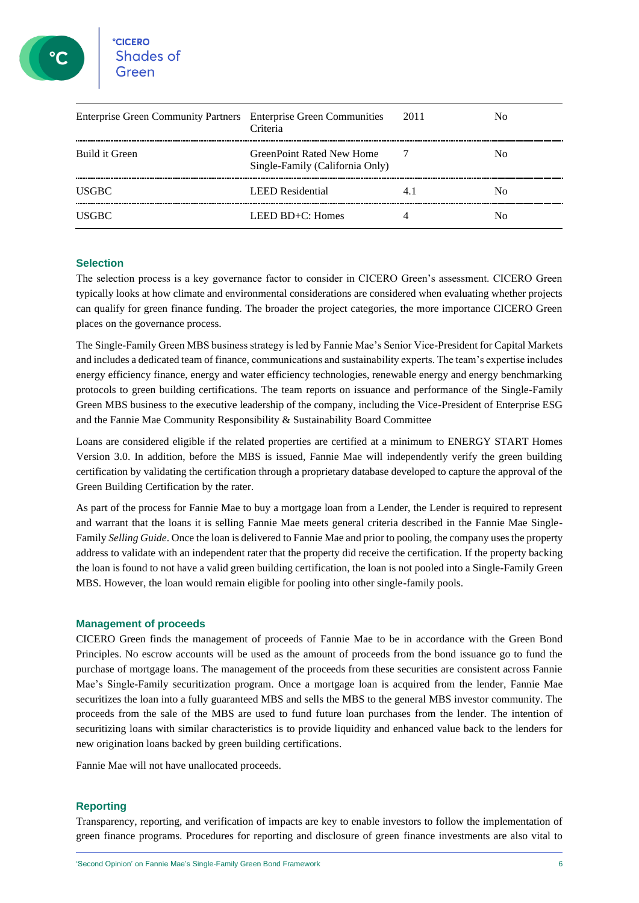| Enterprise Green Community Partners Enterprise Green Communities | Criteria                                                            | -2011 | Nο |
|------------------------------------------------------------------|---------------------------------------------------------------------|-------|----|
| Build it Green                                                   | <b>GreenPoint Rated New Home</b><br>Single-Family (California Only) |       | Nο |
| USGBC.                                                           | <b>LEED</b> Residential                                             |       | Nο |
| USGBC.                                                           | LEED $BD+C$ : Homes                                                 |       | Nο |

#### **Selection**

The selection process is a key governance factor to consider in CICERO Green's assessment. CICERO Green typically looks at how climate and environmental considerations are considered when evaluating whether projects can qualify for green finance funding. The broader the project categories, the more importance CICERO Green places on the governance process.

The Single-Family Green MBS business strategy is led by Fannie Mae's Senior Vice-President for Capital Markets and includes a dedicated team of finance, communications and sustainability experts. The team's expertise includes energy efficiency finance, energy and water efficiency technologies, renewable energy and energy benchmarking protocols to green building certifications. The team reports on issuance and performance of the Single-Family Green MBS business to the executive leadership of the company, including the Vice-President of Enterprise ESG and the Fannie Mae Community Responsibility & Sustainability Board Committee

Loans are considered eligible if the related properties are certified at a minimum to ENERGY START Homes Version 3.0. In addition, before the MBS is issued, Fannie Mae will independently verify the green building certification by validating the certification through a proprietary database developed to capture the approval of the Green Building Certification by the rater.

As part of the process for Fannie Mae to buy a mortgage loan from a Lender, the Lender is required to represent and warrant that the loans it is selling Fannie Mae meets general criteria described in the Fannie Mae Single-Family *Selling Guide*. Once the loan is delivered to Fannie Mae and prior to pooling, the company uses the property address to validate with an independent rater that the property did receive the certification. If the property backing the loan is found to not have a valid green building certification, the loan is not pooled into a Single-Family Green MBS. However, the loan would remain eligible for pooling into other single-family pools.

#### **Management of proceeds**

CICERO Green finds the management of proceeds of Fannie Mae to be in accordance with the Green Bond Principles. No escrow accounts will be used as the amount of proceeds from the bond issuance go to fund the purchase of mortgage loans. The management of the proceeds from these securities are consistent across Fannie Mae's Single-Family securitization program. Once a mortgage loan is acquired from the lender, Fannie Mae securitizes the loan into a fully guaranteed MBS and sells the MBS to the general MBS investor community. The proceeds from the sale of the MBS are used to fund future loan purchases from the lender. The intention of securitizing loans with similar characteristics is to provide liquidity and enhanced value back to the lenders for new origination loans backed by green building certifications.

Fannie Mae will not have unallocated proceeds.

#### **Reporting**

Transparency, reporting, and verification of impacts are key to enable investors to follow the implementation of green finance programs. Procedures for reporting and disclosure of green finance investments are also vital to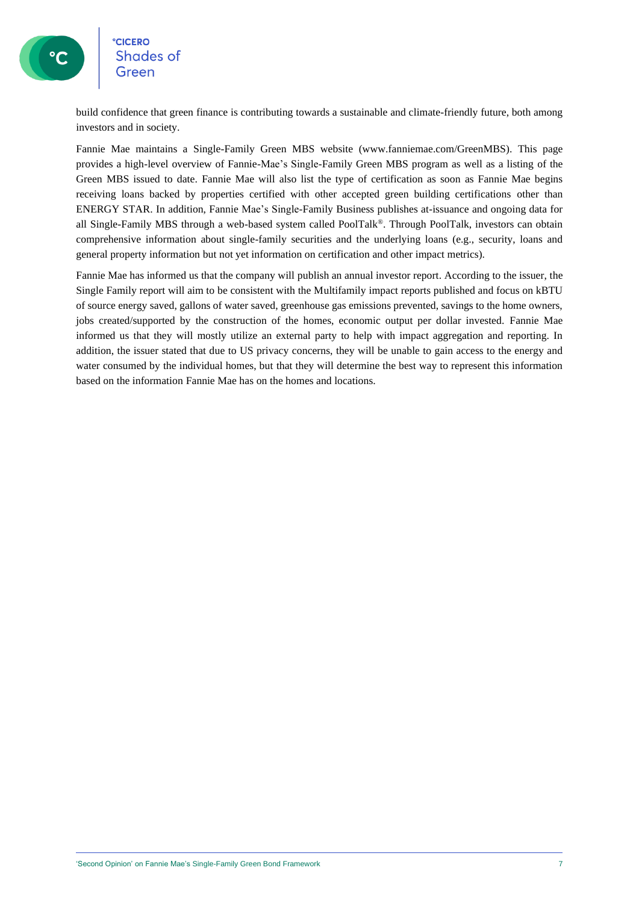

### **CICERO Shades of**

build confidence that green finance is contributing towards a sustainable and climate-friendly future, both among investors and in society.

Fannie Mae maintains a Single-Family Green MBS website (www.fanniemae.com/GreenMBS). This page provides a high-level overview of Fannie-Mae's Single-Family Green MBS program as well as a listing of the Green MBS issued to date. Fannie Mae will also list the type of certification as soon as Fannie Mae begins receiving loans backed by properties certified with other accepted green building certifications other than ENERGY STAR. In addition, Fannie Mae's Single-Family Business publishes at-issuance and ongoing data for all Single-Family MBS through a web-based system called PoolTalk®. Through PoolTalk, investors can obtain comprehensive information about single-family securities and the underlying loans (e.g., security, loans and general property information but not yet information on certification and other impact metrics).

Fannie Mae has informed us that the company will publish an annual investor report. According to the issuer, the Single Family report will aim to be consistent with the Multifamily impact reports published and focus on kBTU of source energy saved, gallons of water saved, greenhouse gas emissions prevented, savings to the home owners, jobs created/supported by the construction of the homes, economic output per dollar invested. Fannie Mae informed us that they will mostly utilize an external party to help with impact aggregation and reporting. In addition, the issuer stated that due to US privacy concerns, they will be unable to gain access to the energy and water consumed by the individual homes, but that they will determine the best way to represent this information based on the information Fannie Mae has on the homes and locations.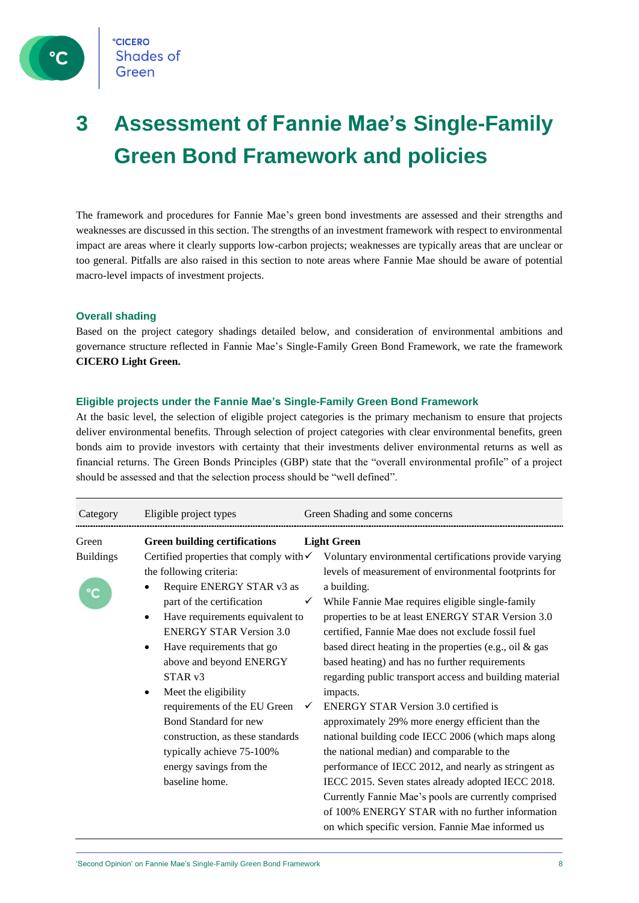

### **3 Assessment of Fannie Mae's Single-Family Green Bond Framework and policies**

The framework and procedures for Fannie Mae's green bond investments are assessed and their strengths and weaknesses are discussed in this section. The strengths of an investment framework with respect to environmental impact are areas where it clearly supports low-carbon projects; weaknesses are typically areas that are unclear or too general. Pitfalls are also raised in this section to note areas where Fannie Mae should be aware of potential macro-level impacts of investment projects.

#### **Overall shading**

Based on the project category shadings detailed below, and consideration of environmental ambitions and governance structure reflected in Fannie Mae's Single-Family Green Bond Framework, we rate the framework **CICERO Light Green.**

#### **Eligible projects under the Fannie Mae's Single-Family Green Bond Framework**

At the basic level, the selection of eligible project categories is the primary mechanism to ensure that projects deliver environmental benefits. Through selection of project categories with clear environmental benefits, green bonds aim to provide investors with certainty that their investments deliver environmental returns as well as financial returns. The Green Bonds Principles (GBP) state that the "overall environmental profile" of a project should be assessed and that the selection process should be "well defined".

| Category         | Eligible project types                             | Green Shading and some concerns                                  |
|------------------|----------------------------------------------------|------------------------------------------------------------------|
| Green            | <b>Green building certifications</b>               | <b>Light Green</b>                                               |
| <b>Buildings</b> | Certified properties that comply with $\checkmark$ | Voluntary environmental certifications provide varying           |
|                  | the following criteria:                            | levels of measurement of environmental footprints for            |
|                  | Require ENERGY STAR v3 as                          | a building.                                                      |
|                  | part of the certification                          | While Fannie Mae requires eligible single-family<br>$\checkmark$ |
|                  | Have requirements equivalent to<br>$\bullet$       | properties to be at least ENERGY STAR Version 3.0                |
|                  | <b>ENERGY STAR Version 3.0</b>                     | certified, Fannie Mae does not exclude fossil fuel               |
|                  | Have requirements that go                          | based direct heating in the properties (e.g., oil $\&$ gas       |
|                  | above and beyond ENERGY                            | based heating) and has no further requirements                   |
|                  | STAR <sub>v3</sub>                                 | regarding public transport access and building material          |
|                  | Meet the eligibility                               | impacts.                                                         |
|                  | requirements of the EU Green                       | <b>ENERGY STAR Version 3.0 certified is</b>                      |
|                  | Bond Standard for new                              | approximately 29% more energy efficient than the                 |
|                  | construction, as these standards                   | national building code IECC 2006 (which maps along               |
|                  | typically achieve 75-100%                          | the national median) and comparable to the                       |
|                  | energy savings from the                            | performance of IECC 2012, and nearly as stringent as             |
|                  | baseline home.                                     | IECC 2015. Seven states already adopted IECC 2018.               |
|                  |                                                    | Currently Fannie Mae's pools are currently comprised             |
|                  |                                                    | of 100% ENERGY STAR with no further information                  |
|                  |                                                    | on which specific version. Fannie Mae informed us                |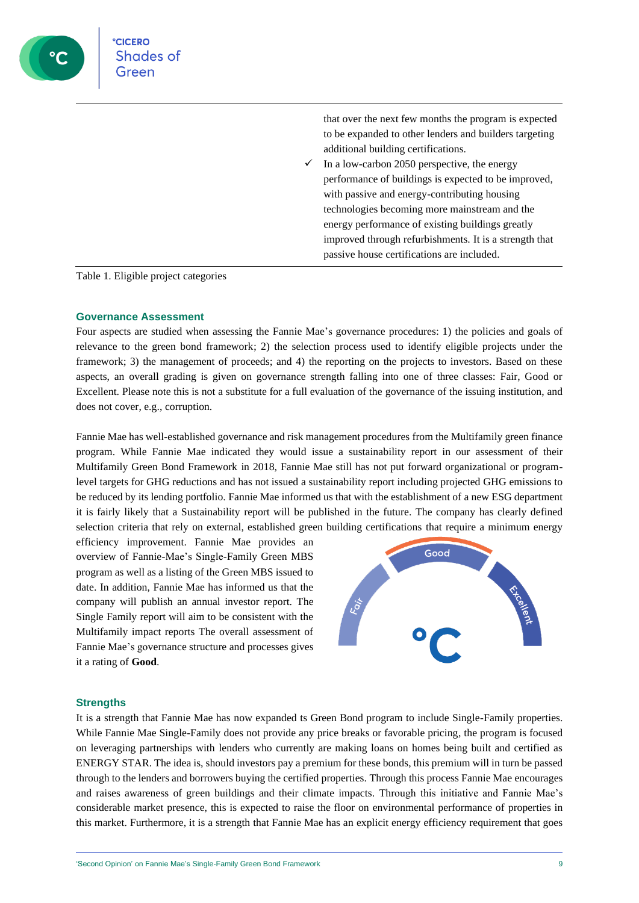

that over the next few months the program is expected to be expanded to other lenders and builders targeting additional building certifications.

In a low-carbon 2050 perspective, the energy performance of buildings is expected to be improved, with passive and energy-contributing housing technologies becoming more mainstream and the energy performance of existing buildings greatly improved through refurbishments. It is a strength that passive house certifications are included.

Table 1. Eligible project categories

#### **Governance Assessment**

Four aspects are studied when assessing the Fannie Mae's governance procedures: 1) the policies and goals of relevance to the green bond framework; 2) the selection process used to identify eligible projects under the framework; 3) the management of proceeds; and 4) the reporting on the projects to investors. Based on these aspects, an overall grading is given on governance strength falling into one of three classes: Fair, Good or Excellent. Please note this is not a substitute for a full evaluation of the governance of the issuing institution, and does not cover, e.g., corruption.

Fannie Mae has well-established governance and risk management procedures from the Multifamily green finance program. While Fannie Mae indicated they would issue a sustainability report in our assessment of their Multifamily Green Bond Framework in 2018, Fannie Mae still has not put forward organizational or programlevel targets for GHG reductions and has not issued a sustainability report including projected GHG emissions to be reduced by its lending portfolio. Fannie Mae informed us that with the establishment of a new ESG department it is fairly likely that a Sustainability report will be published in the future. The company has clearly defined selection criteria that rely on external, established green building certifications that require a minimum energy

efficiency improvement. Fannie Mae provides an overview of Fannie-Mae's Single-Family Green MBS program as well as a listing of the Green MBS issued to date. In addition, Fannie Mae has informed us that the company will publish an annual investor report. The Single Family report will aim to be consistent with the Multifamily impact reports The overall assessment of Fannie Mae's governance structure and processes gives it a rating of **Good**.



#### **Strengths**

It is a strength that Fannie Mae has now expanded ts Green Bond program to include Single-Family properties. While Fannie Mae Single-Family does not provide any price breaks or favorable pricing, the program is focused on leveraging partnerships with lenders who currently are making loans on homes being built and certified as ENERGY STAR. The idea is, should investors pay a premium for these bonds, this premium will in turn be passed through to the lenders and borrowers buying the certified properties. Through this process Fannie Mae encourages and raises awareness of green buildings and their climate impacts. Through this initiative and Fannie Mae's considerable market presence, this is expected to raise the floor on environmental performance of properties in this market. Furthermore, it is a strength that Fannie Mae has an explicit energy efficiency requirement that goes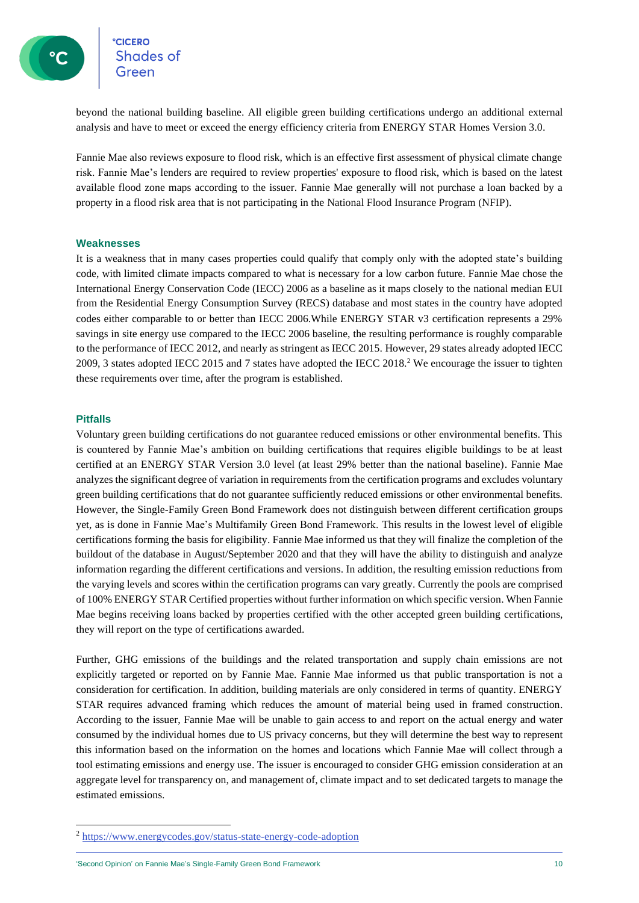**CICERO** Shades of

beyond the national building baseline. All eligible green building certifications undergo an additional external analysis and have to meet or exceed the energy efficiency criteria from ENERGY STAR Homes Version 3.0.

Fannie Mae also reviews exposure to flood risk, which is an effective first assessment of physical climate change risk. Fannie Mae's lenders are required to review properties' exposure to flood risk, which is based on the latest available flood zone maps according to the issuer. Fannie Mae generally will not purchase a loan backed by a property in a flood risk area that is not participating in the National Flood Insurance Program (NFIP).

#### **Weaknesses**

It is a weakness that in many cases properties could qualify that comply only with the adopted state's building code, with limited climate impacts compared to what is necessary for a low carbon future. Fannie Mae chose the International Energy Conservation Code (IECC) 2006 as a baseline as it maps closely to the national median EUI from the Residential Energy Consumption Survey (RECS) database and most states in the country have adopted codes either comparable to or better than IECC 2006.While ENERGY STAR v3 certification represents a 29% savings in site energy use compared to the IECC 2006 baseline, the resulting performance is roughly comparable to the performance of IECC 2012, and nearly as stringent as IECC 2015. However, 29 states already adopted IECC 2009, 3 states adopted IECC 2015 and 7 states have adopted the IECC 2018.<sup>2</sup> We encourage the issuer to tighten these requirements over time, after the program is established.

#### **Pitfalls**

Voluntary green building certifications do not guarantee reduced emissions or other environmental benefits. This is countered by Fannie Mae's ambition on building certifications that requires eligible buildings to be at least certified at an ENERGY STAR Version 3.0 level (at least 29% better than the national baseline). Fannie Mae analyzes the significant degree of variation in requirements from the certification programs and excludes voluntary green building certifications that do not guarantee sufficiently reduced emissions or other environmental benefits. However, the Single-Family Green Bond Framework does not distinguish between different certification groups yet, as is done in Fannie Mae's Multifamily Green Bond Framework. This results in the lowest level of eligible certifications forming the basis for eligibility. Fannie Mae informed us that they will finalize the completion of the buildout of the database in August/September 2020 and that they will have the ability to distinguish and analyze information regarding the different certifications and versions. In addition, the resulting emission reductions from the varying levels and scores within the certification programs can vary greatly. Currently the pools are comprised of 100% ENERGY STAR Certified properties without further information on which specific version. When Fannie Mae begins receiving loans backed by properties certified with the other accepted green building certifications, they will report on the type of certifications awarded.

Further, GHG emissions of the buildings and the related transportation and supply chain emissions are not explicitly targeted or reported on by Fannie Mae. Fannie Mae informed us that public transportation is not a consideration for certification. In addition, building materials are only considered in terms of quantity. ENERGY STAR requires advanced framing which reduces the amount of material being used in framed construction. According to the issuer, Fannie Mae will be unable to gain access to and report on the actual energy and water consumed by the individual homes due to US privacy concerns, but they will determine the best way to represent this information based on the information on the homes and locations which Fannie Mae will collect through a tool estimating emissions and energy use. The issuer is encouraged to consider GHG emission consideration at an aggregate level for transparency on, and management of, climate impact and to set dedicated targets to manage the estimated emissions.

<sup>2</sup> <https://www.energycodes.gov/status-state-energy-code-adoption>

<sup>&#</sup>x27;Second Opinion' on Fannie Mae's Single-Family Green Bond Framework 10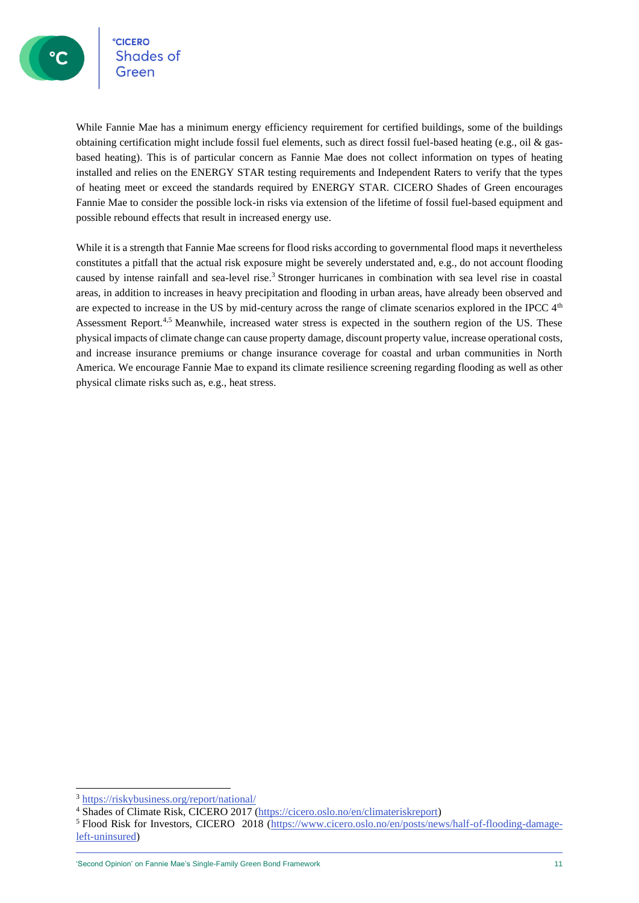**CICERO** Shades of

While Fannie Mae has a minimum energy efficiency requirement for certified buildings, some of the buildings obtaining certification might include fossil fuel elements, such as direct fossil fuel-based heating (e.g., oil & gasbased heating). This is of particular concern as Fannie Mae does not collect information on types of heating installed and relies on the ENERGY STAR testing requirements and Independent Raters to verify that the types of heating meet or exceed the standards required by ENERGY STAR. CICERO Shades of Green encourages Fannie Mae to consider the possible lock-in risks via extension of the lifetime of fossil fuel-based equipment and possible rebound effects that result in increased energy use.

While it is a strength that Fannie Mae screens for flood risks according to governmental flood maps it nevertheless constitutes a pitfall that the actual risk exposure might be severely understated and, e.g., do not account flooding caused by intense rainfall and sea-level rise.<sup>3</sup> Stronger hurricanes in combination with sea level rise in coastal areas, in addition to increases in heavy precipitation and flooding in urban areas, have already been observed and are expected to increase in the US by mid-century across the range of climate scenarios explored in the IPCC  $4<sup>th</sup>$ Assessment Report.<sup>4,5</sup> Meanwhile, increased water stress is expected in the southern region of the US. These physical impacts of climate change can cause property damage, discount property value, increase operational costs, and increase insurance premiums or change insurance coverage for coastal and urban communities in North America. We encourage Fannie Mae to expand its climate resilience screening regarding flooding as well as other physical climate risks such as, e.g., heat stress.

<sup>3</sup> <https://riskybusiness.org/report/national/>

<sup>4</sup> Shades of Climate Risk, CICERO 2017 [\(https://cicero.oslo.no/en/climateriskreport\)](https://cicero.oslo.no/en/climateriskreport)

<sup>&</sup>lt;sup>5</sup> Flood Risk for Investors, CICERO 2018 [\(https://www.cicero.oslo.no/en/posts/news/half-of-flooding-damage](https://www.cicero.oslo.no/en/posts/news/half-of-flooding-damage-left-uninsured)[left-uninsured\)](https://www.cicero.oslo.no/en/posts/news/half-of-flooding-damage-left-uninsured)

<sup>&#</sup>x27;Second Opinion' on Fannie Mae's Single-Family Green Bond Framework 11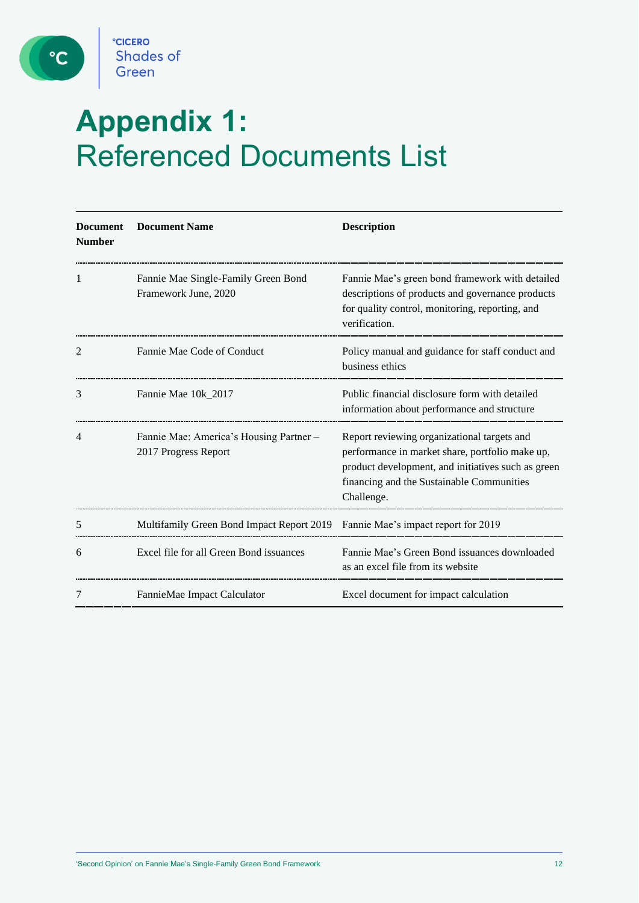

 $^{\circ}$ 

## **Appendix 1:**  Referenced Documents List

| <b>Document</b><br><b>Number</b> | <b>Document Name</b>                                            | <b>Description</b>                                                                                                                                                                                              |
|----------------------------------|-----------------------------------------------------------------|-----------------------------------------------------------------------------------------------------------------------------------------------------------------------------------------------------------------|
| 1                                | Fannie Mae Single-Family Green Bond<br>Framework June, 2020     | Fannie Mae's green bond framework with detailed<br>descriptions of products and governance products<br>for quality control, monitoring, reporting, and<br>verification.                                         |
| 2                                | Fannie Mae Code of Conduct                                      | Policy manual and guidance for staff conduct and<br>business ethics                                                                                                                                             |
| 3                                | Fannie Mae 10k_2017                                             | Public financial disclosure form with detailed<br>information about performance and structure                                                                                                                   |
| 4                                | Fannie Mae: America's Housing Partner –<br>2017 Progress Report | Report reviewing organizational targets and<br>performance in market share, portfolio make up,<br>product development, and initiatives such as green<br>financing and the Sustainable Communities<br>Challenge. |
| 5                                | Multifamily Green Bond Impact Report 2019                       | Fannie Mae's impact report for 2019                                                                                                                                                                             |
| 6                                | Excel file for all Green Bond issuances                         | Fannie Mae's Green Bond issuances downloaded<br>as an excel file from its website                                                                                                                               |
| 7                                | FannieMae Impact Calculator                                     | Excel document for impact calculation                                                                                                                                                                           |